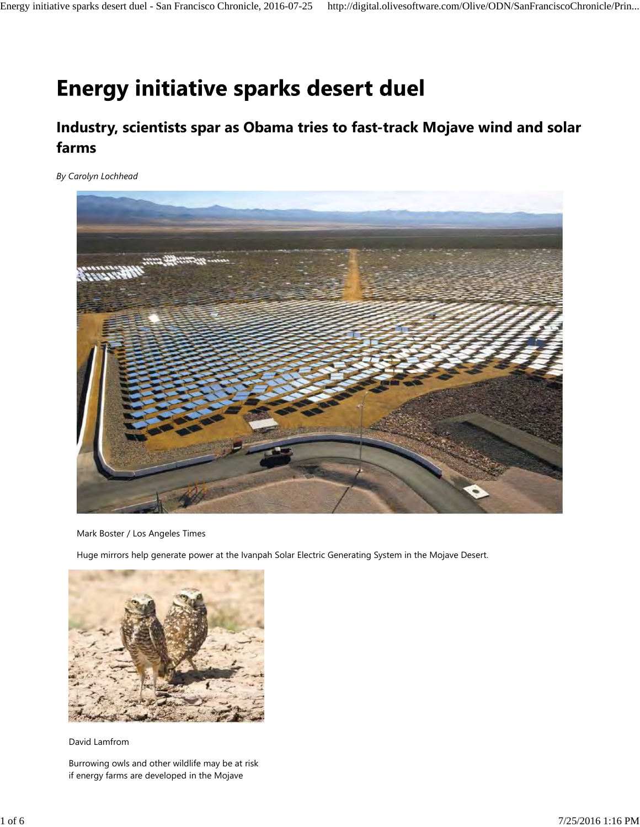# **Energy initiative sparks desert duel**

# **Industry, scientists spar as Obama tries to fast-track Mojave wind and solar farms**

*By Carolyn Lochhead*



Mark Boster / Los Angeles Times

Huge mirrors help generate power at the Ivanpah Solar Electric Generating System in the Mojave Desert.



David Lamfrom

Burrowing owls and other wildlife may be at risk if energy farms are developed in the Mojave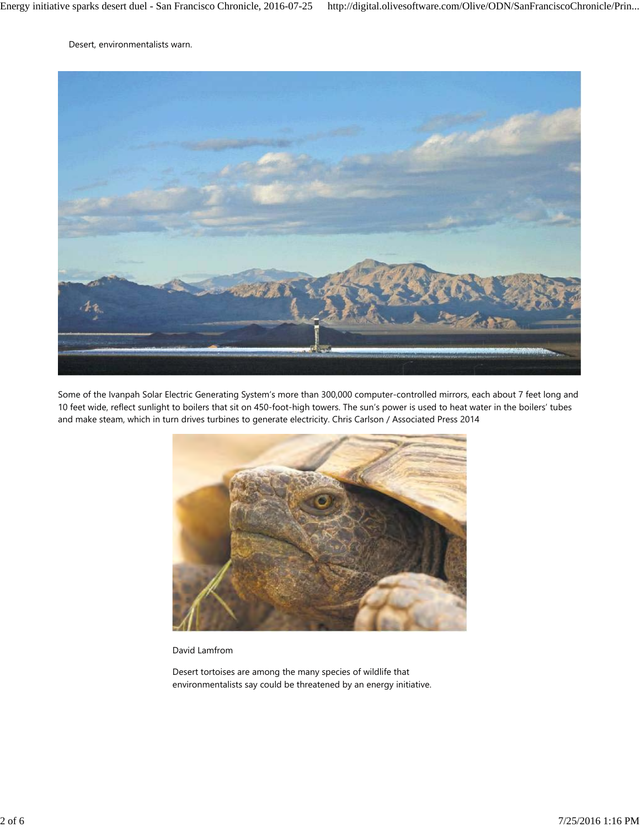Desert, environmentalists warn.



Some of the Ivanpah Solar Electric Generating System's more than 300,000 computer-controlled mirrors, each about 7 feet long and 10 feet wide, reflect sunlight to boilers that sit on 450-foot-high towers. The sun's power is used to heat water in the boilers' tubes and make steam, which in turn drives turbines to generate electricity. Chris Carlson / Associated Press 2014



David Lamfrom

Desert tortoises are among the many species of wildlife that environmentalists say could be threatened by an energy initiative.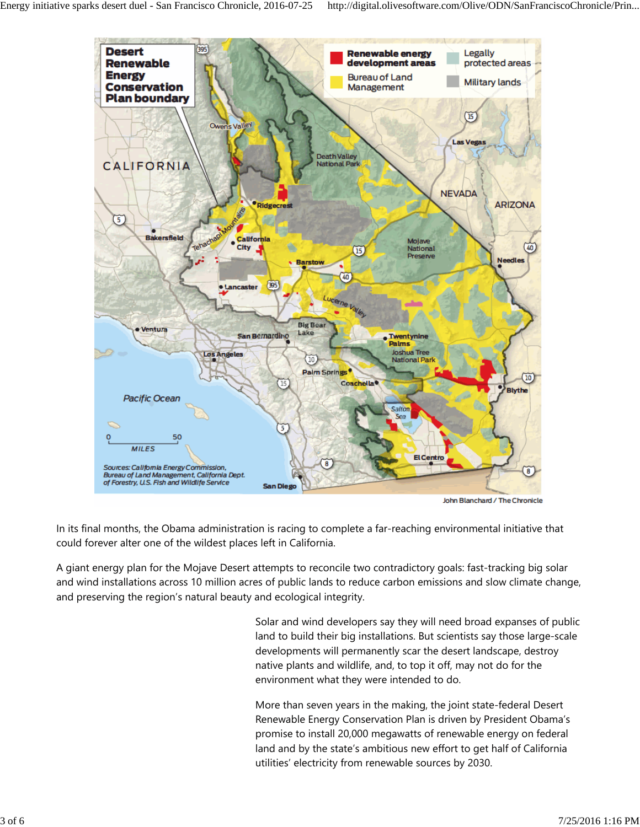

In its final months, the Obama administration is racing to complete a far-reaching environmental initiative that could forever alter one of the wildest places left in California.

A giant energy plan for the Mojave Desert attempts to reconcile two contradictory goals: fast-tracking big solar and wind installations across 10 million acres of public lands to reduce carbon emissions and slow climate change, and preserving the region's natural beauty and ecological integrity.

> Solar and wind developers say they will need broad expanses of public land to build their big installations. But scientists say those large-scale developments will permanently scar the desert landscape, destroy native plants and wildlife, and, to top it off, may not do for the environment what they were intended to do.

More than seven years in the making, the joint state-federal Desert Renewable Energy Conservation Plan is driven by President Obama's promise to install 20,000 megawatts of renewable energy on federal land and by the state's ambitious new effort to get half of California utilities' electricity from renewable sources by 2030.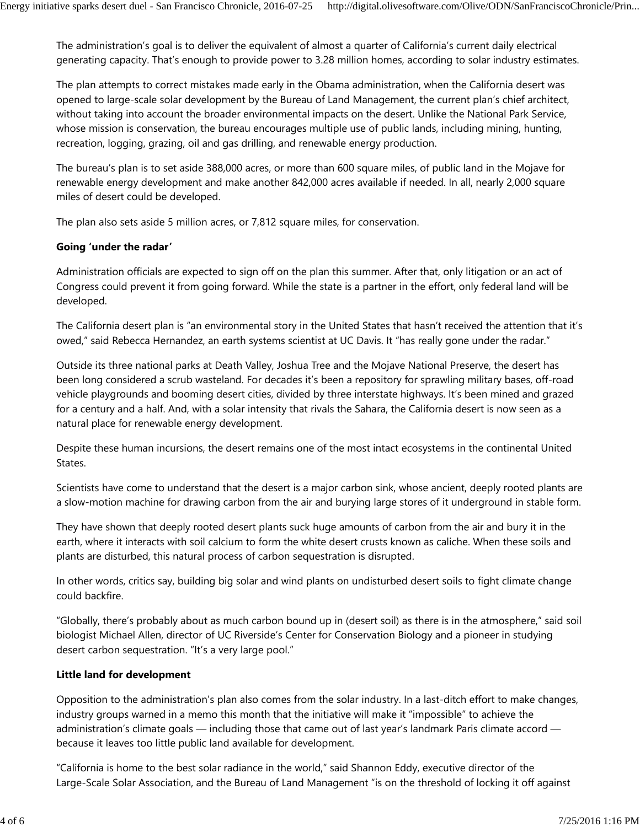The administration's goal is to deliver the equivalent of almost a quarter of California's current daily electrical generating capacity. That's enough to provide power to 3.28 million homes, according to solar industry estimates.

The plan attempts to correct mistakes made early in the Obama administration, when the California desert was opened to large-scale solar development by the Bureau of Land Management, the current plan's chief architect, without taking into account the broader environmental impacts on the desert. Unlike the National Park Service, whose mission is conservation, the bureau encourages multiple use of public lands, including mining, hunting, recreation, logging, grazing, oil and gas drilling, and renewable energy production.

The bureau's plan is to set aside 388,000 acres, or more than 600 square miles, of public land in the Mojave for renewable energy development and make another 842,000 acres available if needed. In all, nearly 2,000 square miles of desert could be developed.

The plan also sets aside 5 million acres, or 7,812 square miles, for conservation.

## **Going 'under the radar'**

Administration officials are expected to sign off on the plan this summer. After that, only litigation or an act of Congress could prevent it from going forward. While the state is a partner in the effort, only federal land will be developed.

The California desert plan is "an environmental story in the United States that hasn't received the attention that it's owed," said Rebecca Hernandez, an earth systems scientist at UC Davis. It "has really gone under the radar."

Outside its three national parks at Death Valley, Joshua Tree and the Mojave National Preserve, the desert has been long considered a scrub wasteland. For decades it's been a repository for sprawling military bases, off-road vehicle playgrounds and booming desert cities, divided by three interstate highways. It's been mined and grazed for a century and a half. And, with a solar intensity that rivals the Sahara, the California desert is now seen as a natural place for renewable energy development.

Despite these human incursions, the desert remains one of the most intact ecosystems in the continental United States.

Scientists have come to understand that the desert is a major carbon sink, whose ancient, deeply rooted plants are a slow-motion machine for drawing carbon from the air and burying large stores of it underground in stable form.

They have shown that deeply rooted desert plants suck huge amounts of carbon from the air and bury it in the earth, where it interacts with soil calcium to form the white desert crusts known as caliche. When these soils and plants are disturbed, this natural process of carbon sequestration is disrupted.

In other words, critics say, building big solar and wind plants on undisturbed desert soils to fight climate change could backfire.

"Globally, there's probably about as much carbon bound up in (desert soil) as there is in the atmosphere," said soil biologist Michael Allen, director of UC Riverside's Center for Conservation Biology and a pioneer in studying desert carbon sequestration. "It's a very large pool."

#### **Little land for development**

Opposition to the administration's plan also comes from the solar industry. In a last-ditch effort to make changes, industry groups warned in a memo this month that the initiative will make it "impossible" to achieve the administration's climate goals — including those that came out of last year's landmark Paris climate accord because it leaves too little public land available for development.

"California is home to the best solar radiance in the world," said Shannon Eddy, executive director of the Large-Scale Solar Association, and the Bureau of Land Management "is on the threshold of locking it off against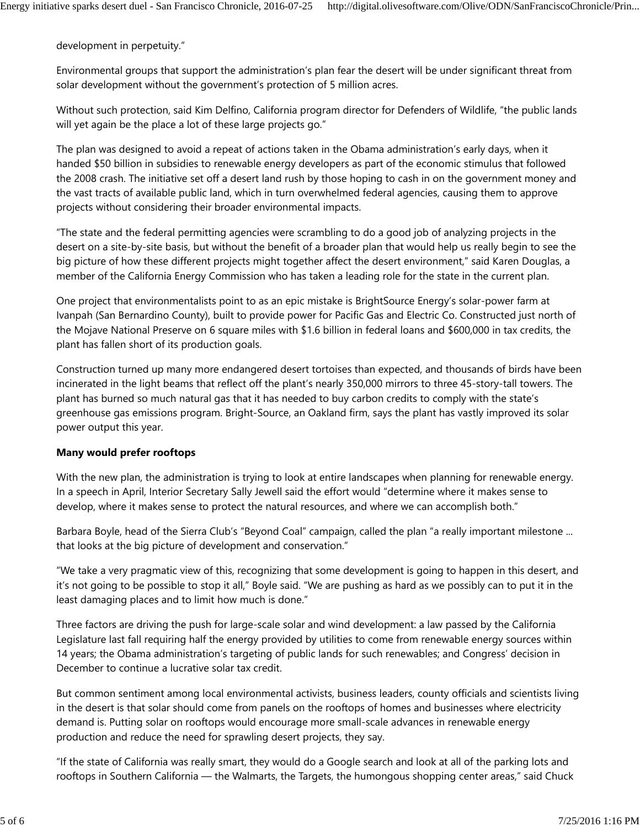development in perpetuity."

Environmental groups that support the administration's plan fear the desert will be under significant threat from solar development without the government's protection of 5 million acres.

Without such protection, said Kim Delfino, California program director for Defenders of Wildlife, "the public lands will yet again be the place a lot of these large projects go."

The plan was designed to avoid a repeat of actions taken in the Obama administration's early days, when it handed \$50 billion in subsidies to renewable energy developers as part of the economic stimulus that followed the 2008 crash. The initiative set off a desert land rush by those hoping to cash in on the government money and the vast tracts of available public land, which in turn overwhelmed federal agencies, causing them to approve projects without considering their broader environmental impacts.

"The state and the federal permitting agencies were scrambling to do a good job of analyzing projects in the desert on a site-by-site basis, but without the benefit of a broader plan that would help us really begin to see the big picture of how these different projects might together affect the desert environment," said Karen Douglas, a member of the California Energy Commission who has taken a leading role for the state in the current plan.

One project that environmentalists point to as an epic mistake is BrightSource Energy's solar-power farm at Ivanpah (San Bernardino County), built to provide power for Pacific Gas and Electric Co. Constructed just north of the Mojave National Preserve on 6 square miles with \$1.6 billion in federal loans and \$600,000 in tax credits, the plant has fallen short of its production goals.

Construction turned up many more endangered desert tortoises than expected, and thousands of birds have been incinerated in the light beams that reflect off the plant's nearly 350,000 mirrors to three 45-story-tall towers. The plant has burned so much natural gas that it has needed to buy carbon credits to comply with the state's greenhouse gas emissions program. Bright-Source, an Oakland firm, says the plant has vastly improved its solar power output this year.

#### **Many would prefer rooftops**

With the new plan, the administration is trying to look at entire landscapes when planning for renewable energy. In a speech in April, Interior Secretary Sally Jewell said the effort would "determine where it makes sense to develop, where it makes sense to protect the natural resources, and where we can accomplish both."

Barbara Boyle, head of the Sierra Club's "Beyond Coal" campaign, called the plan "a really important milestone ... that looks at the big picture of development and conservation."

"We take a very pragmatic view of this, recognizing that some development is going to happen in this desert, and it's not going to be possible to stop it all," Boyle said. "We are pushing as hard as we possibly can to put it in the least damaging places and to limit how much is done."

Three factors are driving the push for large-scale solar and wind development: a law passed by the California Legislature last fall requiring half the energy provided by utilities to come from renewable energy sources within 14 years; the Obama administration's targeting of public lands for such renewables; and Congress' decision in December to continue a lucrative solar tax credit.

But common sentiment among local environmental activists, business leaders, county officials and scientists living in the desert is that solar should come from panels on the rooftops of homes and businesses where electricity demand is. Putting solar on rooftops would encourage more small-scale advances in renewable energy production and reduce the need for sprawling desert projects, they say.

"If the state of California was really smart, they would do a Google search and look at all of the parking lots and rooftops in Southern California — the Walmarts, the Targets, the humongous shopping center areas," said Chuck